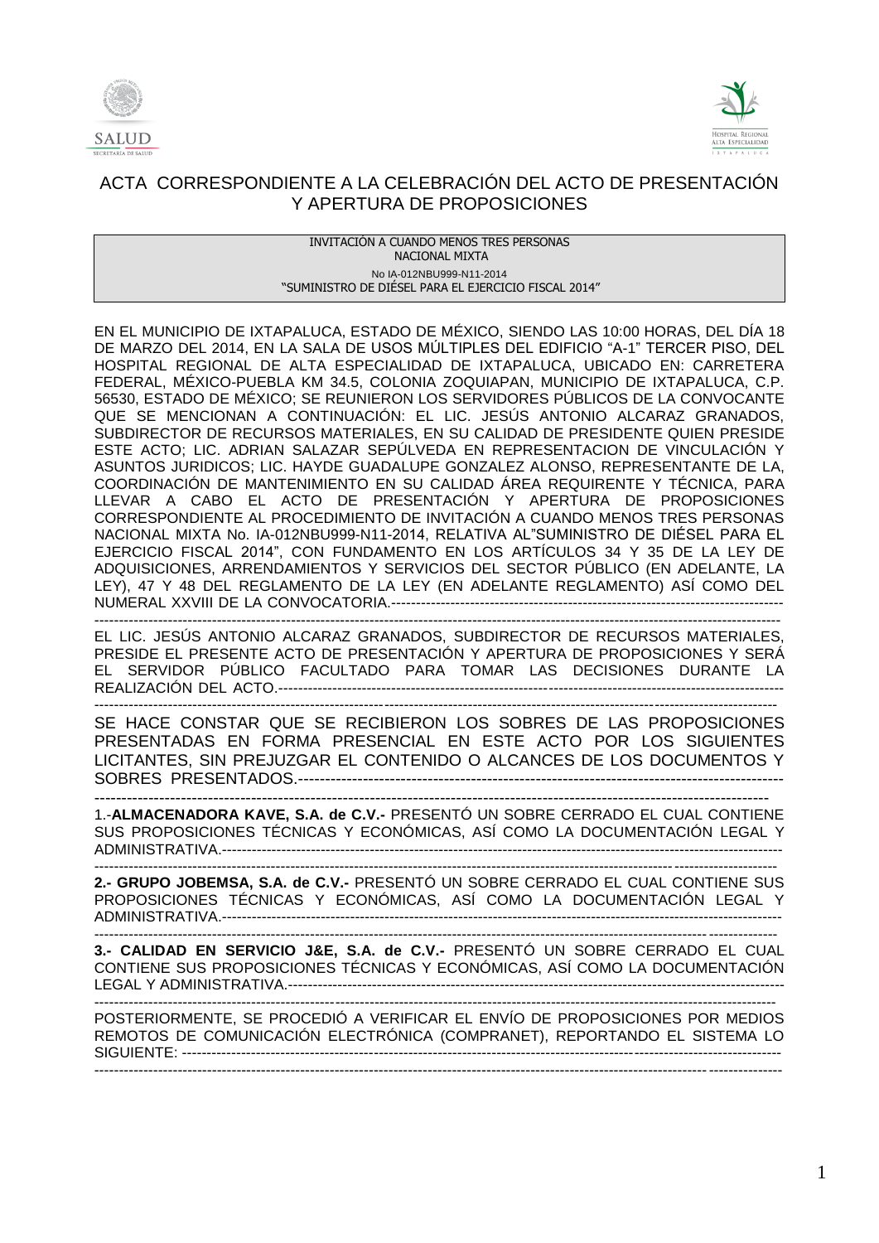



INVITACIÓN A CUANDO MENOS TRES PERSONAS NACIONAL MIXTA No IA-012NBU999-N11-2014 "SUMINISTRO DE DIÉSEL PARA EL EJERCICIO FISCAL 2014"

EN EL MUNICIPIO DE IXTAPALUCA, ESTADO DE MÉXICO, SIENDO LAS 10:00 HORAS, DEL DÍA 18 DE MARZO DEL 2014, EN LA SALA DE USOS MÚLTIPLES DEL EDIFICIO "A-1" TERCER PISO, DEL HOSPITAL REGIONAL DE ALTA ESPECIALIDAD DE IXTAPALUCA, UBICADO EN: CARRETERA FEDERAL, MÉXICO-PUEBLA KM 34.5, COLONIA ZOQUIAPAN, MUNICIPIO DE IXTAPALUCA, C.P. 56530, ESTADO DE MÉXICO; SE REUNIERON LOS SERVIDORES PÚBLICOS DE LA CONVOCANTE QUE SE MENCIONAN A CONTINUACIÓN: EL LIC. JESÚS ANTONIO ALCARAZ GRANADOS, SUBDIRECTOR DE RECURSOS MATERIALES, EN SU CALIDAD DE PRESIDENTE QUIEN PRESIDE ESTE ACTO; LIC. ADRIAN SALAZAR SEPÚLVEDA EN REPRESENTACION DE VINCULACIÓN Y ASUNTOS JURIDICOS; LIC. HAYDE GUADALUPE GONZALEZ ALONSO, REPRESENTANTE DE LA, COORDINACIÓN DE MANTENIMIENTO EN SU CALIDAD ÁREA REQUIRENTE Y TÉCNICA, PARA LLEVAR A CABO EL ACTO DE PRESENTACIÓN Y APERTURA DE PROPOSICIONES CORRESPONDIENTE AL PROCEDIMIENTO DE INVITACIÓN A CUANDO MENOS TRES PERSONAS NACIONAL MIXTA No. IA-012NBU999-N11-2014, RELATIVA AL"SUMINISTRO DE DIÉSEL PARA EL EJERCICIO FISCAL 2014", CON FUNDAMENTO EN LOS ARTÍCULOS 34 Y 35 DE LA LEY DE ADQUISICIONES, ARRENDAMIENTOS Y SERVICIOS DEL SECTOR PÚBLICO (EN ADELANTE, LA LEY), 47 Y 48 DEL REGLAMENTO DE LA LEY (EN ADELANTE REGLAMENTO) ASÍ COMO DEL NUMERAL XXVIII DE LA CONVOCATORIA.-------------------------------------------------------------------------------- --------------------------------------------------------------------------------------------------------------------------------------------

EL LIC. JESÚS ANTONIO ALCARAZ GRANADOS, SUBDIRECTOR DE RECURSOS MATERIALES, PRESIDE EL PRESENTE ACTO DE PRESENTACIÓN Y APERTURA DE PROPOSICIONES Y SERÁ EL SERVIDOR PÚBLICO FACULTADO PARA TOMAR LAS DECISIONES DURANTE LA REALIZACIÓN DEL ACTO.-------------------------------------------------------------------------------------------------------

------------------------------------------------------------------------------------------------------------------------------------------- SE HACE CONSTAR QUE SE RECIBIERON LOS SOBRES DE LAS PROPOSICIONES PRESENTADAS EN FORMA PRESENCIAL EN ESTE ACTO POR LOS SIGUIENTES LICITANTES, SIN PREJUZGAR EL CONTENIDO O ALCANCES DE LOS DOCUMENTOS Y SOBRES PRESENTADOS.------------------------------------------------------------------------------------------ -----------------------------------------------------------------------------------------------------------------------------

1.-**ALMACENADORA KAVE, S.A. de C.V.-** PRESENTÓ UN SOBRE CERRADO EL CUAL CONTIENE SUS PROPOSICIONES TÉCNICAS Y ECONÓMICAS, ASÍ COMO LA DOCUMENTACIÓN LEGAL Y ADMINISTRATIVA.------------------------------------------------------------------------------------------------------------------

------------------------------------------------------------------------------------------------------------------------------------------- **2.- GRUPO JOBEMSA, S.A. de C.V.-** PRESENTÓ UN SOBRE CERRADO EL CUAL CONTIENE SUS PROPOSICIONES TÉCNICAS Y ECONÓMICAS, ASÍ COMO LA DOCUMENTACIÓN LEGAL Y ADMINISTRATIVA.------------------------------------------------------------------------------------------------------------------

------------------------------------------------------------------------------------------------------------------------------------------- **3.- CALIDAD EN SERVICIO J&E, S.A. de C.V.-** PRESENTÓ UN SOBRE CERRADO EL CUAL CONTIENE SUS PROPOSICIONES TÉCNICAS Y ECONÓMICAS, ASÍ COMO LA DOCUMENTACIÓN LEGAL Y ADMINISTRATIVA.----------------------------------------------------------------------------------------------------- -------------------------------------------------------------------------------------------------------------------------------------------

POSTERIORMENTE, SE PROCEDIÓ A VERIFICAR EL ENVÍO DE PROPOSICIONES POR MEDIOS REMOTOS DE COMUNICACIÓN ELECTRÓNICA (COMPRANET), REPORTANDO EL SISTEMA LO SIGUIENTE: -------------------------------------------------------------------------------------------------------------------------- --------------------------------------------------------------------------------------------------------------------------------------------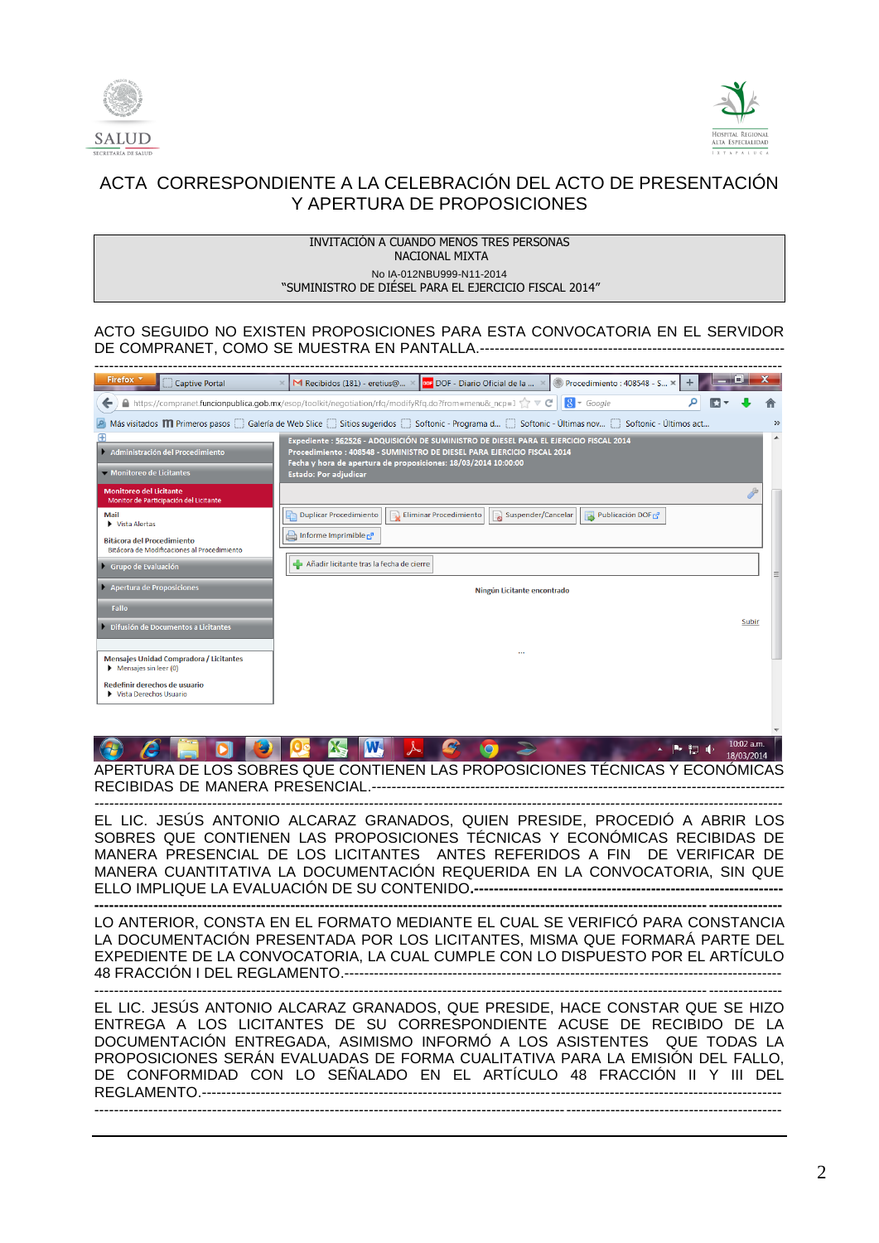



| INVITACION A CUANDO MENOS TRES PERSONAS<br>NACIONAL MIXTA |
|-----------------------------------------------------------|
| No IA-012NBU999-N11-2014                                  |
| "SUMINISTRO DE DIESEL PARA EL EJERCICIO FISCAL 2014"      |

### ACTO SEGUIDO NO EXISTEN PROPOSICIONES PARA ESTA CONVOCATORIA EN EL SERVIDOR DE COMPRANET, COMO SE MUESTRA EN PANTALLA.--------------------------------------------------------------

| Firefox *<br>Captive Portal                                                                                                                                             | × M Recibidos (181) - eretius@ ×   ppr DOF - Diario Oficial de la  ×   ● Procedimiento : 408548 - S ×<br>÷                                                          |       |  |  |  |
|-------------------------------------------------------------------------------------------------------------------------------------------------------------------------|---------------------------------------------------------------------------------------------------------------------------------------------------------------------|-------|--|--|--|
|                                                                                                                                                                         | A https://compranet.funcionpublica.gob.mx/esop/toolkit/negotiation/rfq/modifyRfq.do?from=menu&_ncp=1 $\uparrow$ $\vee$ C   8 $\star$ Google                         |       |  |  |  |
| Más visitados <b>M</b> Primeros pasos Galería de Web Slice Gistios sugeridos Gisoftonic - Programa d Gisoftonic - Últimas nov Gisoftonic - Últimos act<br>$\rightarrow$ |                                                                                                                                                                     |       |  |  |  |
| Administración del Procedimiento                                                                                                                                        | Expediente : 562526 - ADQUISICIÓN DE SUMINISTRO DE DIESEL PARA EL EJERCICIO FISCAL 2014<br>Procedimiento : 408548 - SUMINISTRO DE DIESEL PARA EJERCICIO FISCAL 2014 |       |  |  |  |
| Monitoreo de Licitantes                                                                                                                                                 | Fecha y hora de apertura de proposiciones: 18/03/2014 10:00:00<br>Estado: Por adjudicar                                                                             |       |  |  |  |
| Monitoreo del Licitante<br>Monitor de Participación del Licitante                                                                                                       |                                                                                                                                                                     |       |  |  |  |
| <b>Mail</b><br>Vista Alertas                                                                                                                                            | Duplicar Procedimiento<br>Publicación DOF<br>Eliminar Procedimiento<br>Suspender/Cancelar                                                                           |       |  |  |  |
| <b>Bitácora del Procedimiento</b><br>Bitácora de Modificaciones al Procedimiento                                                                                        | Informe Imprimible $c^n$                                                                                                                                            |       |  |  |  |
| Grupo de Evaluación                                                                                                                                                     | Añadir licitante tras la fecha de cierre                                                                                                                            |       |  |  |  |
| Apertura de Proposiciones                                                                                                                                               | Ningún Licitante encontrado                                                                                                                                         |       |  |  |  |
| Fallo                                                                                                                                                                   |                                                                                                                                                                     |       |  |  |  |
| Difusión de Documentos a Licitantes                                                                                                                                     |                                                                                                                                                                     | Subir |  |  |  |
| <b>Mensajes Unidad Compradora / Licitantes</b><br>$\triangleright$ Mensajes sin leer (0)                                                                                |                                                                                                                                                                     |       |  |  |  |
| Redefinir derechos de usuario<br>Vista Derechos Usuario                                                                                                                 |                                                                                                                                                                     |       |  |  |  |

#### **C IX M**  $\lambda$   $\beta$ 18/03/2014 APERTURA DE LOS SOBRES QUE CONTIENEN LAS PROPOSICIONES TÉCNICAS Y ECONÓMICAS RECIBIDAS DE MANERA PRESENCIAL.*------------------------------------------------------------------------------------*

*--------------------------------------------------------------------------------------------------------------------------------------------*

EL LIC. JESÚS ANTONIO ALCARAZ GRANADOS, QUIEN PRESIDE, PROCEDIÓ A ABRIR LOS SOBRES QUE CONTIENEN LAS PROPOSICIONES TÉCNICAS Y ECONÓMICAS RECIBIDAS DE MANERA PRESENCIAL DE LOS LICITANTES ANTES REFERIDOS A FIN DE VERIFICAR DE MANERA CUANTITATIVA LA DOCUMENTACIÓN REQUERIDA EN LA CONVOCATORIA, SIN QUE ELLO IMPLIQUE LA EVALUACIÓN DE SU CONTENIDO.-----

**--------------------------------------------------------------------------------------------------------------------------------------------** LO ANTERIOR, CONSTA EN EL FORMATO MEDIANTE EL CUAL SE VERIFICÓ PARA CONSTANCIA LA DOCUMENTACIÓN PRESENTADA POR LOS LICITANTES, MISMA QUE FORMARÁ PARTE DEL EXPEDIENTE DE LA CONVOCATORIA, LA CUAL CUMPLE CON LO DISPUESTO POR EL ARTÍCULO 48 FRACCIÓN I DEL REGLAMENTO.-----------------------------------------------------------------------------------------

-------------------------------------------------------------------------------------------------------------------------------------------- EL LIC. JESÚS ANTONIO ALCARAZ GRANADOS, QUE PRESIDE, HACE CONSTAR QUE SE HIZO ENTREGA A LOS LICITANTES DE SU CORRESPONDIENTE ACUSE DE RECIBIDO DE LA

DOCUMENTACIÓN ENTREGADA, ASIMISMO INFORMÓ A LOS ASISTENTES QUE TODAS LA PROPOSICIONES SERÁN EVALUADAS DE FORMA CUALITATIVA PARA LA EMISIÓN DEL FALLO, DE CONFORMIDAD CON LO SEÑALADO EN EL ARTÍCULO 48 FRACCIÓN II Y III DEL REGLAMENTO.----------------------------------------------------------------------------------------------------------------------  $-1-\frac{1}{2}$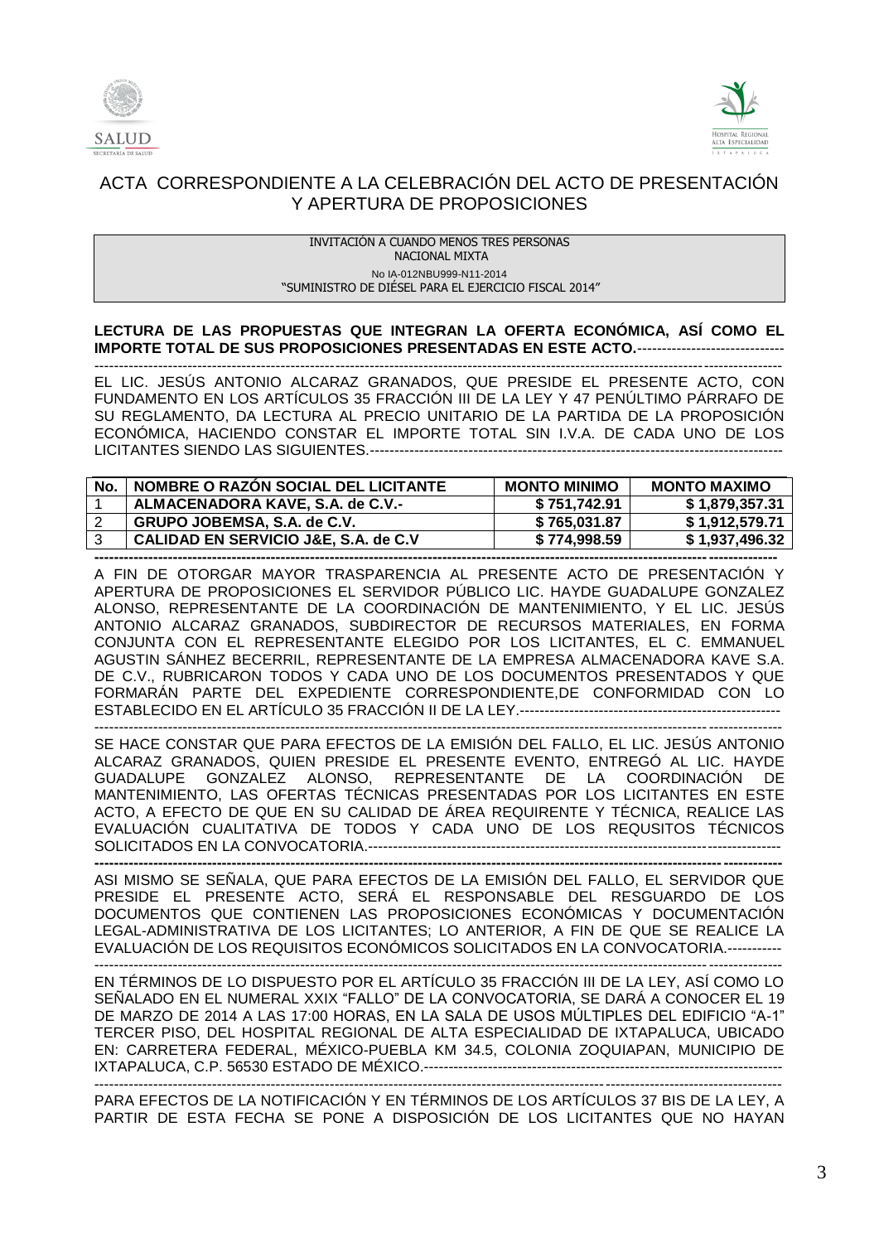



#### INVITACIÓN A CUANDO MENOS TRES PERSONAS NACIONAL MIXTA No IA-012NBU999-N11-2014 "SUMINISTRO DE DIÉSEL PARA EL EJERCICIO FISCAL 2014"

## **LECTURA DE LAS PROPUESTAS QUE INTEGRAN LA OFERTA ECONÓMICA, ASÍ COMO EL IMPORTE TOTAL DE SUS PROPOSICIONES PRESENTADAS EN ESTE ACTO.**------------------------------

-------------------------------------------------------------------------------------------------------------------------------------------- EL LIC. JESÚS ANTONIO ALCARAZ GRANADOS, QUE PRESIDE EL PRESENTE ACTO, CON FUNDAMENTO EN LOS ARTÍCULOS 35 FRACCIÓN III DE LA LEY Y 47 PENÚLTIMO PÁRRAFO DE SU REGLAMENTO, DA LECTURA AL PRECIO UNITARIO DE LA PARTIDA DE LA PROPOSICIÓN ECONÓMICA, HACIENDO CONSTAR EL IMPORTE TOTAL SIN I.V.A. DE CADA UNO DE LOS LICITANTES SIENDO LAS SIGUIENTES.------------------------------------------------------------------------------------

| No | NOMBRE O RAZON SOCIAL DEL LICITANTE  | <b>MONTO MINIMO</b> | <b>MONTO MAXIMO</b> |
|----|--------------------------------------|---------------------|---------------------|
|    | ALMACENADORA KAVE, S.A. de C.V.-     | \$751.742.91        | \$1,879,357.31      |
|    | GRUPO JOBEMSA, S.A. de C.V.          | \$765.031.87        | \$1.912.579.71      |
|    | CALIDAD EN SERVICIO J&E, S.A. de C.V | \$774,998.59        | \$1,937,496.32      |
|    |                                      |                     |                     |

A FIN DE OTORGAR MAYOR TRASPARENCIA AL PRESENTE ACTO DE PRESENTACIÓN Y APERTURA DE PROPOSICIONES EL SERVIDOR PÚBLICO LIC. HAYDE GUADALUPE GONZALEZ ALONSO, REPRESENTANTE DE LA COORDINACIÓN DE MANTENIMIENTO, Y EL LIC. JESÚS ANTONIO ALCARAZ GRANADOS, SUBDIRECTOR DE RECURSOS MATERIALES, EN FORMA CONJUNTA CON EL REPRESENTANTE ELEGIDO POR LOS LICITANTES, EL C. EMMANUEL AGUSTIN SÁNHEZ BECERRIL, REPRESENTANTE DE LA EMPRESA ALMACENADORA KAVE S.A. DE C.V., RUBRICARON TODOS Y CADA UNO DE LOS DOCUMENTOS PRESENTADOS Y QUE FORMARÁN PARTE DEL EXPEDIENTE CORRESPONDIENTE,DE CONFORMIDAD CON LO ESTABLECIDO EN EL ARTÍCULO 35 FRACCIÓN II DE LA LEY.-----------------------------------------------------

SE HACE CONSTAR QUE PARA EFECTOS DE LA EMISIÓN DEL FALLO, EL LIC. JESÚS ANTONIO ALCARAZ GRANADOS, QUIEN PRESIDE EL PRESENTE EVENTO, ENTREGÓ AL LIC. HAYDE GUADALUPE GONZALEZ ALONSO, REPRESENTANTE DE LA COORDINACIÓN DE MANTENIMIENTO, LAS OFERTAS TÉCNICAS PRESENTADAS POR LOS LICITANTES EN ESTE ACTO, A EFECTO DE QUE EN SU CALIDAD DE ÁREA REQUIRENTE Y TÉCNICA, REALICE LAS EVALUACIÓN CUALITATIVA DE TODOS Y CADA UNO DE LOS REQUSITOS TÉCNICOS SOLICITADOS EN LA CONVOCATORIA.------------------------------------------------------------------------------------

--------------------------------------------------------------------------------------------------------------------------------------------

**--------------------------------------------------------------------------------------------------------------------------------------------** ASI MISMO SE SEÑALA, QUE PARA EFECTOS DE LA EMISIÓN DEL FALLO, EL SERVIDOR QUE PRESIDE EL PRESENTE ACTO, SERÁ EL RESPONSABLE DEL RESGUARDO DE LOS DOCUMENTOS QUE CONTIENEN LAS PROPOSICIONES ECONÓMICAS Y DOCUMENTACIÓN LEGAL-ADMINISTRATIVA DE LOS LICITANTES; LO ANTERIOR, A FIN DE QUE SE REALICE LA EVALUACIÓN DE LOS REQUISITOS ECONÓMICOS SOLICITADOS EN LA CONVOCATORIA.----------- --------------------------------------------------------------------------------------------------------------------------------------------

EN TÉRMINOS DE LO DISPUESTO POR EL ARTÍCULO 35 FRACCIÓN III DE LA LEY, ASÍ COMO LO SEÑALADO EN EL NUMERAL XXIX "FALLO" DE LA CONVOCATORIA, SE DARÁ A CONOCER EL 19 DE MARZO DE 2014 A LAS 17:00 HORAS, EN LA SALA DE USOS MÚLTIPLES DEL EDIFICIO "A-1" TERCER PISO, DEL HOSPITAL REGIONAL DE ALTA ESPECIALIDAD DE IXTAPALUCA, UBICADO EN: CARRETERA FEDERAL, MÉXICO-PUEBLA KM 34.5, COLONIA ZOQUIAPAN, MUNICIPIO DE IXTAPALUCA, C.P. 56530 ESTADO DE MÉXICO.-------------------------------------------------------------------------

-------------------------------------------------------------------------------------------------------------------------------------------- PARA EFECTOS DE LA NOTIFICACIÓN Y EN TÉRMINOS DE LOS ARTÍCULOS 37 BIS DE LA LEY, A PARTIR DE ESTA FECHA SE PONE A DISPOSICIÓN DE LOS LICITANTES QUE NO HAYAN